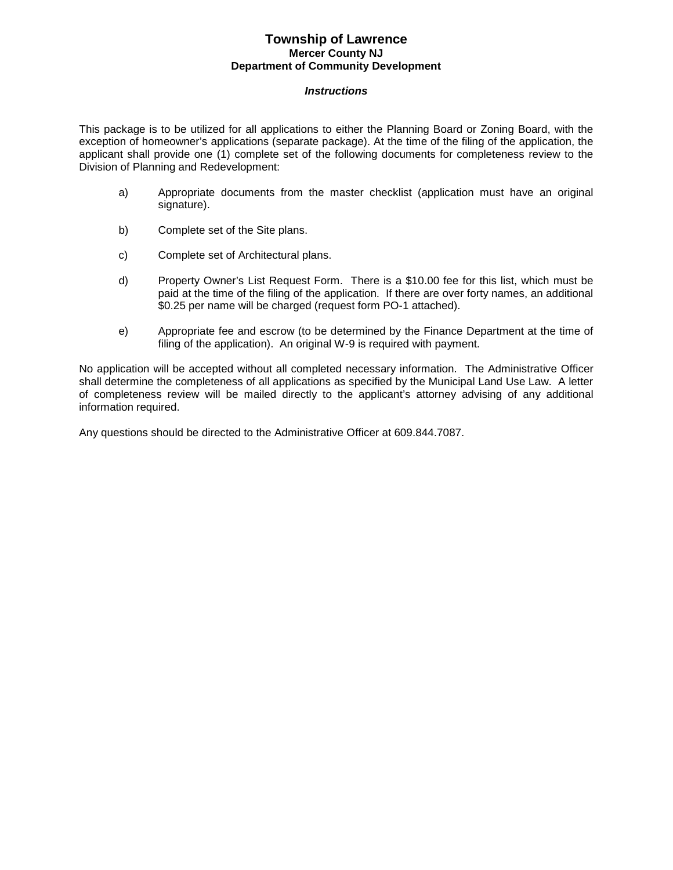#### *Instructions*

This package is to be utilized for all applications to either the Planning Board or Zoning Board, with the exception of homeowner's applications (separate package). At the time of the filing of the application, the applicant shall provide one (1) complete set of the following documents for completeness review to the Division of Planning and Redevelopment:

- a) Appropriate documents from the master checklist (application must have an original signature).
- b) Complete set of the Site plans.
- c) Complete set of Architectural plans.
- d) Property Owner's List Request Form. There is a \$10.00 fee for this list, which must be paid at the time of the filing of the application. If there are over forty names, an additional \$0.25 per name will be charged (request form PO-1 attached).
- e) Appropriate fee and escrow (to be determined by the Finance Department at the time of filing of the application). An original W-9 is required with payment.

No application will be accepted without all completed necessary information. The Administrative Officer shall determine the completeness of all applications as specified by the Municipal Land Use Law. A letter of completeness review will be mailed directly to the applicant's attorney advising of any additional information required.

Any questions should be directed to the Administrative Officer at 609.844.7087.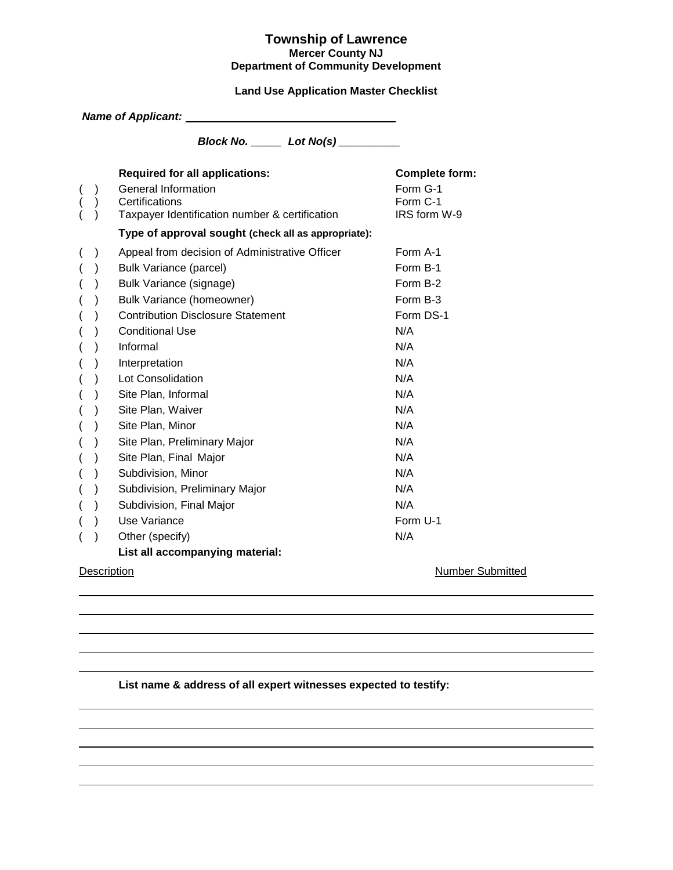### **Land Use Application Master Checklist**

|                          |               | Name of Applicant: Name of Applicant Algorithm Assembly Assembly Assembly Assembly |                          |
|--------------------------|---------------|------------------------------------------------------------------------------------|--------------------------|
|                          |               | Block No. _______ Lot No(s) _________                                              |                          |
|                          |               | <b>Required for all applications:</b>                                              | <b>Complete form:</b>    |
|                          |               | <b>General Information</b>                                                         | Form G-1                 |
|                          |               | Certifications<br>Taxpayer Identification number & certification                   | Form C-1<br>IRS form W-9 |
|                          |               |                                                                                    |                          |
|                          |               | Type of approval sought (check all as appropriate):                                |                          |
| $\left($                 | $\mathcal{C}$ | Appeal from decision of Administrative Officer                                     | Form A-1                 |
| $\overline{\phantom{a}}$ |               | <b>Bulk Variance (parcel)</b>                                                      | Form B-1                 |
| $\overline{(}$           | $\mathcal{E}$ | Bulk Variance (signage)                                                            | Form B-2                 |
| $\overline{\phantom{a}}$ | $\mathcal{E}$ | Bulk Variance (homeowner)                                                          | Form B-3                 |
| $\overline{(}$           | $\mathcal{E}$ | <b>Contribution Disclosure Statement</b>                                           | Form DS-1                |
| (                        |               | <b>Conditional Use</b>                                                             | N/A                      |
| $\overline{(}$           |               | Informal                                                                           | N/A                      |
| $\overline{(}$           |               | Interpretation                                                                     | N/A                      |
| $\overline{ }$           | $\lambda$     | Lot Consolidation                                                                  | N/A                      |
| $\overline{(}$           |               | Site Plan, Informal                                                                | N/A                      |
| $\overline{(}$           |               | Site Plan, Waiver                                                                  | N/A                      |
| $\overline{(}$           | $\lambda$     | Site Plan, Minor                                                                   | N/A                      |
| $\overline{\phantom{a}}$ | $\mathcal{E}$ | Site Plan, Preliminary Major                                                       | N/A                      |
| $\overline{(}$           | $\lambda$     | Site Plan, Final Major                                                             | N/A                      |
| $\overline{(}$           | $\lambda$     | Subdivision, Minor                                                                 | N/A                      |
| (                        | $\mathcal{E}$ | Subdivision, Preliminary Major                                                     | N/A                      |
| $\overline{(}$           | $\mathcal{E}$ | Subdivision, Final Major                                                           | N/A                      |
| $\overline{(}$           | $\mathcal{E}$ | Use Variance                                                                       | Form U-1                 |
| (                        |               | Other (specify)                                                                    | N/A                      |
|                          |               | List all accompanying material:                                                    |                          |
|                          | Description   |                                                                                    | Number Submitted         |

#### **List name & address of all expert witnesses expected to testify:**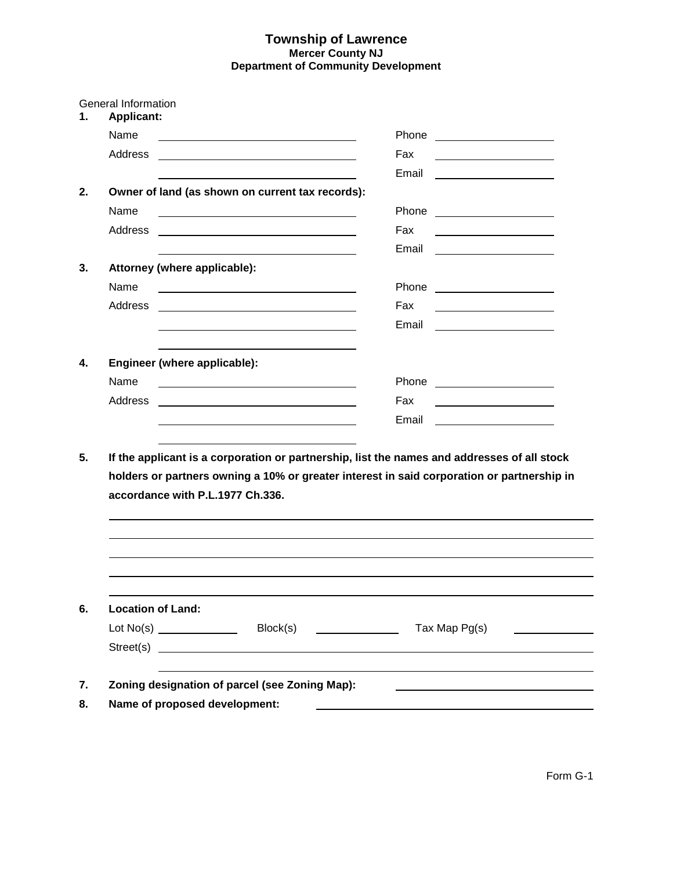| <b>General Information</b><br><b>Applicant:</b>                                             |                                                                                                                       |  |       |                                |                                                   |                                                 |
|---------------------------------------------------------------------------------------------|-----------------------------------------------------------------------------------------------------------------------|--|-------|--------------------------------|---------------------------------------------------|-------------------------------------------------|
| Name                                                                                        |                                                                                                                       |  | Phone |                                | <u> 1980 - Jan Samuel Barbara, político e a f</u> |                                                 |
| Address                                                                                     |                                                                                                                       |  | Fax   |                                |                                                   |                                                 |
|                                                                                             |                                                                                                                       |  | Email |                                |                                                   |                                                 |
|                                                                                             | Owner of land (as shown on current tax records):                                                                      |  |       |                                |                                                   |                                                 |
| Name                                                                                        |                                                                                                                       |  | Phone | <u> Alexandria de la conte</u> |                                                   |                                                 |
| Address                                                                                     | <u> 1989 - John Stein, mars and de Brazilian (b. 1989)</u>                                                            |  | Fax   |                                |                                                   |                                                 |
|                                                                                             |                                                                                                                       |  | Email |                                |                                                   |                                                 |
|                                                                                             | Attorney (where applicable):                                                                                          |  |       |                                |                                                   |                                                 |
| Name                                                                                        | <u> 1989 - Johann Harry Harry Harry Harry Harry Harry Harry Harry Harry Harry Harry Harry Harry Harry Harry Harry</u> |  |       | Phone <u>________________</u>  |                                                   |                                                 |
| Address                                                                                     |                                                                                                                       |  | Fax   |                                |                                                   |                                                 |
|                                                                                             |                                                                                                                       |  | Email |                                | <u> 1989 - Johann Barbara, martxa a</u>           |                                                 |
|                                                                                             |                                                                                                                       |  |       |                                |                                                   |                                                 |
|                                                                                             | Engineer (where applicable):                                                                                          |  |       |                                |                                                   |                                                 |
| Name                                                                                        | the contract of the contract of the contract of the contract of the contract of the contract of                       |  |       | Phone <u>________________</u>  |                                                   |                                                 |
| Address                                                                                     | <u> 1989 - Johann Barn, mars ann an t-Amhainn an t-Amhainn an t-Amhainn an t-Amhainn an t-Amhainn an t-Amhainn an</u> |  | Fax   |                                | <u> 1989 - Johann Barbara, martin a</u>           |                                                 |
|                                                                                             |                                                                                                                       |  | Email |                                |                                                   |                                                 |
|                                                                                             |                                                                                                                       |  |       |                                |                                                   |                                                 |
| If the applicant is a corporation or partnership, list the names and addresses of all stock | holders or partners owning a 10% or greater interest in said corporation or partnership in                            |  |       |                                |                                                   |                                                 |
|                                                                                             | accordance with P.L.1977 Ch.336.                                                                                      |  |       |                                |                                                   |                                                 |
|                                                                                             |                                                                                                                       |  |       |                                |                                                   |                                                 |
| <b>Location of Land:</b>                                                                    |                                                                                                                       |  |       |                                |                                                   |                                                 |
|                                                                                             |                                                                                                                       |  |       |                                |                                                   |                                                 |
|                                                                                             |                                                                                                                       |  |       |                                |                                                   | <u> 1986 - John Stone, amerikansk politiker</u> |
|                                                                                             | Zoning designation of parcel (see Zoning Map):                                                                        |  |       |                                |                                                   |                                                 |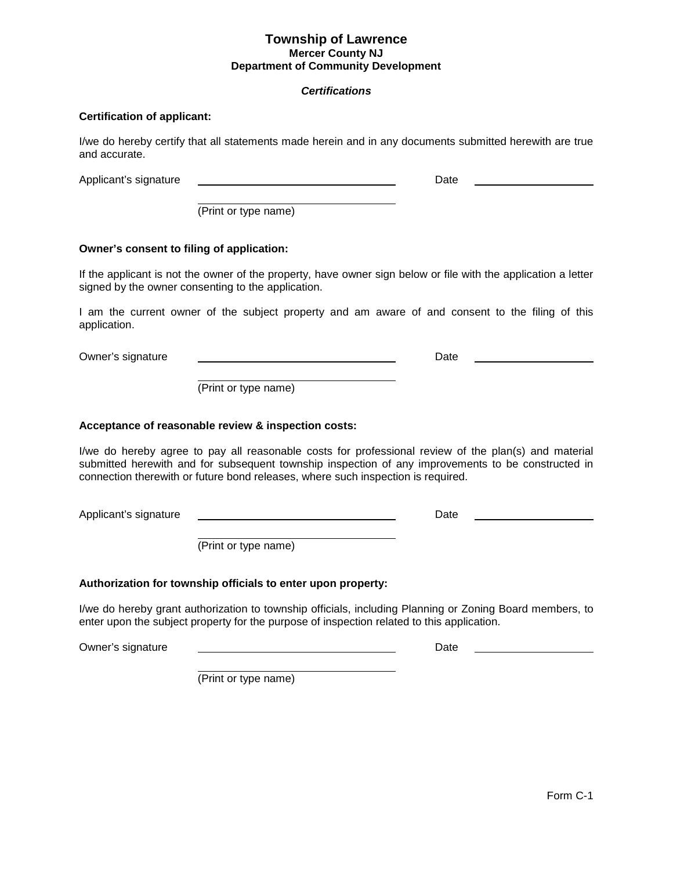#### *Certifications*

#### **Certification of applicant:**

I/we do hereby certify that all statements made herein and in any documents submitted herewith are true and accurate.

Applicant's signature **Date** Date **Date** 

(Print or type name)

#### **Owner's consent to filing of application:**

If the applicant is not the owner of the property, have owner sign below or file with the application a letter signed by the owner consenting to the application.

I am the current owner of the subject property and am aware of and consent to the filing of this application.

Owner's signature Date

(Print or type name)

#### **Acceptance of reasonable review & inspection costs:**

I/we do hereby agree to pay all reasonable costs for professional review of the plan(s) and material submitted herewith and for subsequent township inspection of any improvements to be constructed in connection therewith or future bond releases, where such inspection is required.

Applicant's signature **Date** Date **Date** 

(Print or type name)

#### **Authorization for township officials to enter upon property:**

I/we do hereby grant authorization to township officials, including Planning or Zoning Board members, to enter upon the subject property for the purpose of inspection related to this application.

Owner's signature Date

(Print or type name)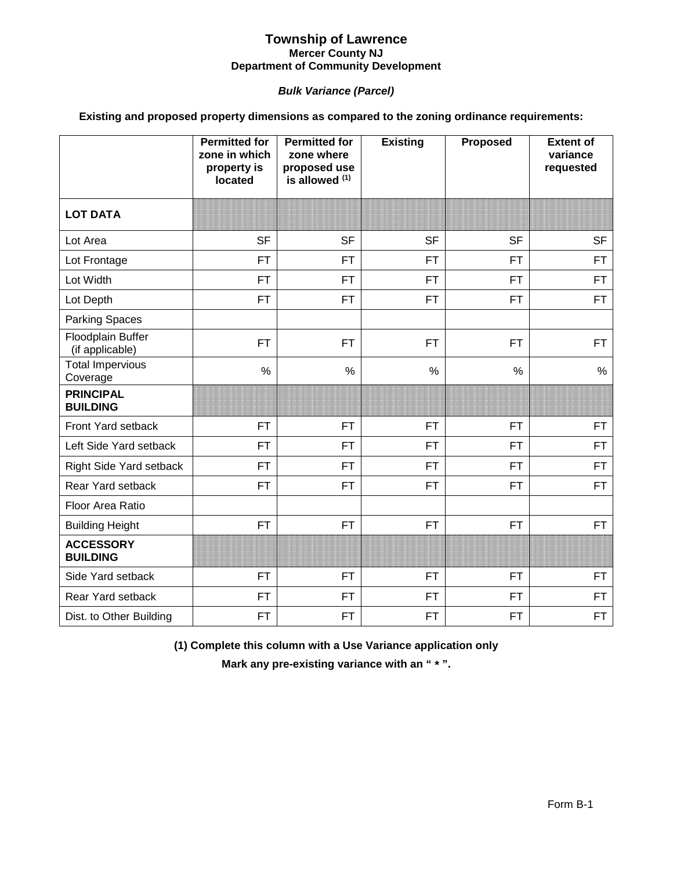### *Bulk Variance (Parcel)*

### **Existing and proposed property dimensions as compared to the zoning ordinance requirements:**

|                                      | <b>Permitted for</b><br>zone in which<br>property is<br>located | <b>Permitted for</b><br>zone where<br>proposed use<br>is allowed (1) | <b>Existing</b> | <b>Proposed</b> | <b>Extent of</b><br>variance<br>requested |
|--------------------------------------|-----------------------------------------------------------------|----------------------------------------------------------------------|-----------------|-----------------|-------------------------------------------|
| <b>LOT DATA</b>                      |                                                                 |                                                                      |                 |                 |                                           |
| Lot Area                             | <b>SF</b>                                                       | <b>SF</b>                                                            | <b>SF</b>       | <b>SF</b>       | <b>SF</b>                                 |
| Lot Frontage                         | <b>FT</b>                                                       | <b>FT</b>                                                            | <b>FT</b>       | <b>FT</b>       | <b>FT</b>                                 |
| Lot Width                            | <b>FT</b>                                                       | <b>FT</b>                                                            | <b>FT</b>       | <b>FT</b>       | <b>FT</b>                                 |
| Lot Depth                            | <b>FT</b>                                                       | <b>FT</b>                                                            | <b>FT</b>       | <b>FT</b>       | <b>FT</b>                                 |
| <b>Parking Spaces</b>                |                                                                 |                                                                      |                 |                 |                                           |
| Floodplain Buffer<br>(if applicable) | <b>FT</b>                                                       | <b>FT</b>                                                            | <b>FT</b>       | <b>FT</b>       | <b>FT</b>                                 |
| <b>Total Impervious</b><br>Coverage  | $\frac{0}{0}$                                                   | $\%$                                                                 | $\frac{0}{0}$   | $\frac{0}{0}$   | $\frac{0}{0}$                             |
| <b>PRINCIPAL</b><br><b>BUILDING</b>  |                                                                 |                                                                      |                 |                 |                                           |
| Front Yard setback                   | <b>FT</b>                                                       | <b>FT</b>                                                            | <b>FT</b>       | <b>FT</b>       | <b>FT</b>                                 |
| Left Side Yard setback               | <b>FT</b>                                                       | <b>FT</b>                                                            | <b>FT</b>       | <b>FT</b>       | <b>FT</b>                                 |
| Right Side Yard setback              | <b>FT</b>                                                       | <b>FT</b>                                                            | <b>FT</b>       | <b>FT</b>       | <b>FT</b>                                 |
| Rear Yard setback                    | <b>FT</b>                                                       | <b>FT</b>                                                            | <b>FT</b>       | <b>FT</b>       | <b>FT</b>                                 |
| Floor Area Ratio                     |                                                                 |                                                                      |                 |                 |                                           |
| <b>Building Height</b>               | <b>FT</b>                                                       | <b>FT</b>                                                            | <b>FT</b>       | <b>FT</b>       | <b>FT</b>                                 |
| <b>ACCESSORY</b><br><b>BUILDING</b>  |                                                                 |                                                                      |                 |                 |                                           |
| Side Yard setback                    | <b>FT</b>                                                       | <b>FT</b>                                                            | <b>FT</b>       | <b>FT</b>       | <b>FT</b>                                 |
| Rear Yard setback                    | <b>FT</b>                                                       | <b>FT</b>                                                            | <b>FT</b>       | <b>FT</b>       | <b>FT</b>                                 |
| Dist. to Other Building              | <b>FT</b>                                                       | <b>FT</b>                                                            | <b>FT</b>       | <b>FT</b>       | <b>FT</b>                                 |

**(1) Complete this column with a Use Variance application only**

**Mark any pre-existing variance with an " \* ".**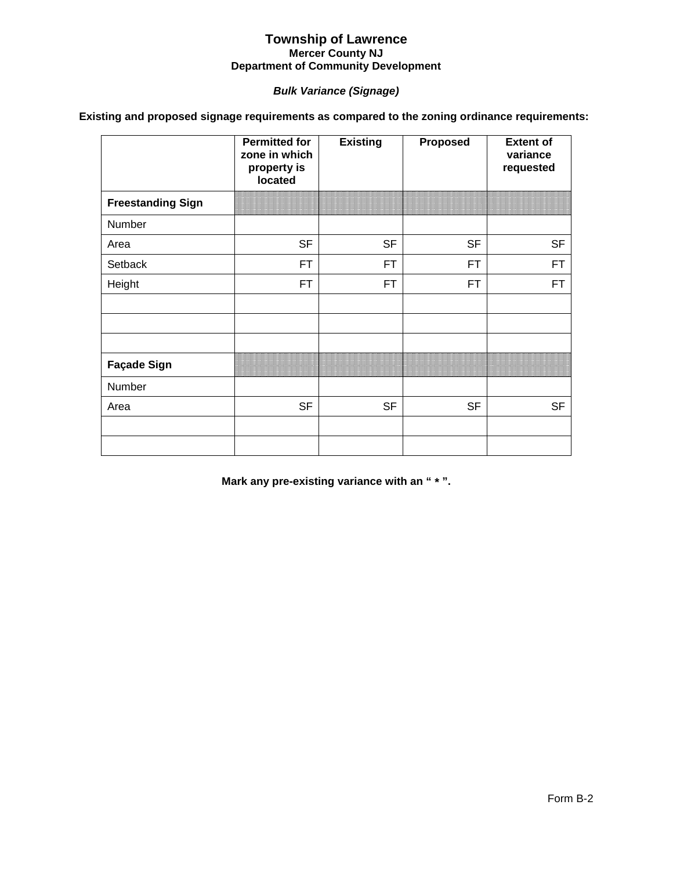### *Bulk Variance (Signage)*

**Existing and proposed signage requirements as compared to the zoning ordinance requirements:**

|                          | <b>Permitted for</b><br>zone in which<br>property is<br>located | <b>Existing</b> | <b>Proposed</b> | <b>Extent of</b><br>variance<br>requested |
|--------------------------|-----------------------------------------------------------------|-----------------|-----------------|-------------------------------------------|
| <b>Freestanding Sign</b> |                                                                 |                 |                 |                                           |
| Number                   |                                                                 |                 |                 |                                           |
| Area                     | <b>SF</b>                                                       | <b>SF</b>       | <b>SF</b>       | <b>SF</b>                                 |
| Setback                  | FT                                                              | FT              | FT.             | FT.                                       |
| Height                   | <b>FT</b>                                                       | FT              | FT.             | FT                                        |
|                          |                                                                 |                 |                 |                                           |
|                          |                                                                 |                 |                 |                                           |
| <b>Façade Sign</b>       |                                                                 |                 |                 |                                           |
| Number                   |                                                                 |                 |                 |                                           |
| Area                     | <b>SF</b>                                                       | <b>SF</b>       | <b>SF</b>       | <b>SF</b>                                 |
|                          |                                                                 |                 |                 |                                           |
|                          |                                                                 |                 |                 |                                           |

**Mark any pre-existing variance with an " \* ".**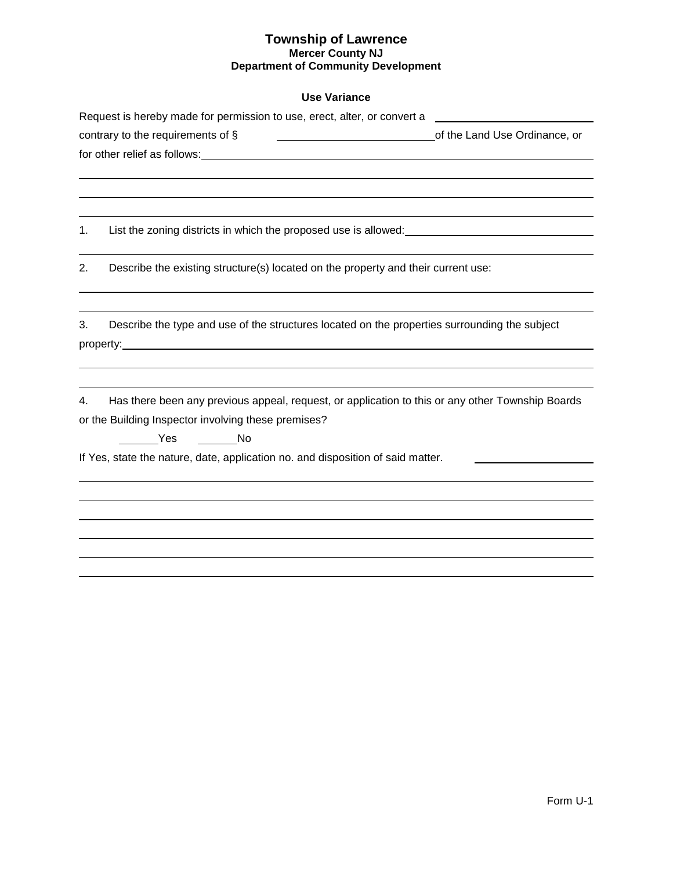### **Use Variance**

|    | Request is hereby made for permission to use, erect, alter, or convert a                         |                               |  |  |  |  |
|----|--------------------------------------------------------------------------------------------------|-------------------------------|--|--|--|--|
|    | contrary to the requirements of $\S$<br><u> 1989 - Johann Barnett, fransk politiker (</u>        | of the Land Use Ordinance, or |  |  |  |  |
|    |                                                                                                  |                               |  |  |  |  |
|    |                                                                                                  |                               |  |  |  |  |
|    |                                                                                                  |                               |  |  |  |  |
|    |                                                                                                  |                               |  |  |  |  |
| 1. | List the zoning districts in which the proposed use is allowed:                                  |                               |  |  |  |  |
|    |                                                                                                  |                               |  |  |  |  |
| 2. | Describe the existing structure(s) located on the property and their current use:                |                               |  |  |  |  |
|    |                                                                                                  |                               |  |  |  |  |
| 3. | Describe the type and use of the structures located on the properties surrounding the subject    |                               |  |  |  |  |
|    |                                                                                                  |                               |  |  |  |  |
|    |                                                                                                  |                               |  |  |  |  |
|    |                                                                                                  |                               |  |  |  |  |
| 4. | Has there been any previous appeal, request, or application to this or any other Township Boards |                               |  |  |  |  |
|    | or the Building Inspector involving these premises?                                              |                               |  |  |  |  |
|    | <b>Example ST</b><br><u>na mga No</u>                                                            |                               |  |  |  |  |
|    | If Yes, state the nature, date, application no. and disposition of said matter.                  |                               |  |  |  |  |
|    |                                                                                                  |                               |  |  |  |  |
|    |                                                                                                  |                               |  |  |  |  |
|    |                                                                                                  |                               |  |  |  |  |
|    |                                                                                                  |                               |  |  |  |  |
|    |                                                                                                  |                               |  |  |  |  |
|    |                                                                                                  |                               |  |  |  |  |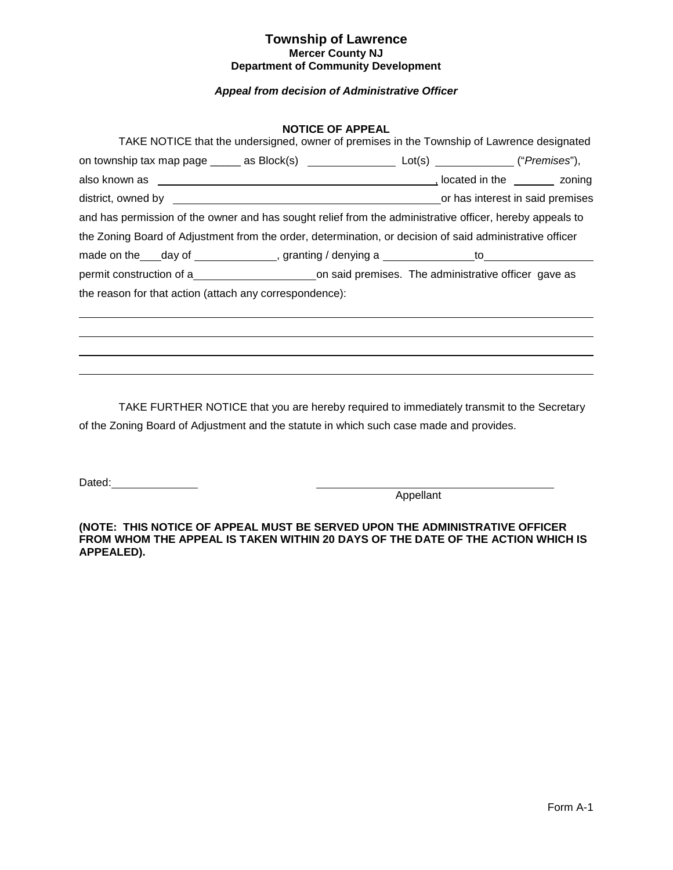### *Appeal from decision of Administrative Officer*

#### **NOTICE OF APPEAL**

| TAKE NOTICE that the undersigned, owner of premises in the Township of Lawrence designated               |  |
|----------------------------------------------------------------------------------------------------------|--|
| on township tax map page ______ as Block(s) ________________________ Lot(s) ______________("Premises"),  |  |
|                                                                                                          |  |
|                                                                                                          |  |
| and has permission of the owner and has sought relief from the administrative officer, hereby appeals to |  |
| the Zoning Board of Adjustment from the order, determination, or decision of said administrative officer |  |
|                                                                                                          |  |
|                                                                                                          |  |
| the reason for that action (attach any correspondence):                                                  |  |
|                                                                                                          |  |
|                                                                                                          |  |
|                                                                                                          |  |

TAKE FURTHER NOTICE that you are hereby required to immediately transmit to the Secretary of the Zoning Board of Adjustment and the statute in which such case made and provides.

Dated:

Appellant

**(NOTE: THIS NOTICE OF APPEAL MUST BE SERVED UPON THE ADMINISTRATIVE OFFICER FROM WHOM THE APPEAL IS TAKEN WITHIN 20 DAYS OF THE DATE OF THE ACTION WHICH IS APPEALED).**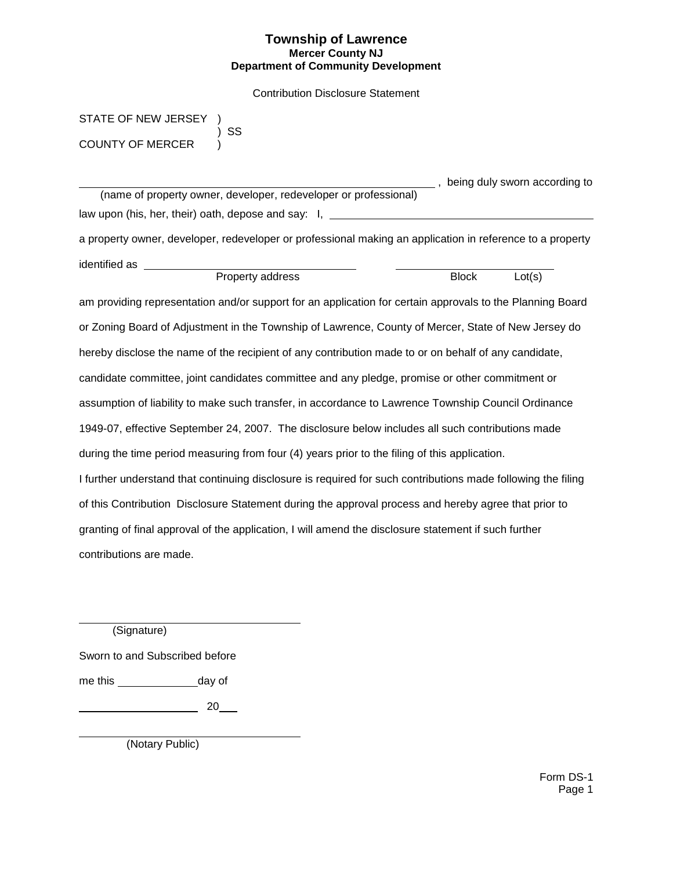Contribution Disclosure Statement

STATE OF NEW JERSEY COUNTY OF MERCER )

) SS

 (name of property owner, developer, redeveloper or professional) law upon (his, her, their) oath, depose and say: I, \_\_\_\_\_\_\_\_\_\_\_\_ a property owner, developer, redeveloper or professional making an application in reference to a property

identified as \_\_\_

| Property address | Block | $\mathsf{cot}(s)$ |
|------------------|-------|-------------------|
|                  |       |                   |

**6.**, being duly sworn according to

am providing representation and/or support for an application for certain approvals to the Planning Board or Zoning Board of Adjustment in the Township of Lawrence, County of Mercer, State of New Jersey do hereby disclose the name of the recipient of any contribution made to or on behalf of any candidate, candidate committee, joint candidates committee and any pledge, promise or other commitment or assumption of liability to make such transfer, in accordance to Lawrence Township Council Ordinance 1949-07, effective September 24, 2007. The disclosure below includes all such contributions made during the time period measuring from four (4) years prior to the filing of this application. I further understand that continuing disclosure is required for such contributions made following the filing of this Contribution Disclosure Statement during the approval process and hereby agree that prior to granting of final approval of the application, I will amend the disclosure statement if such further contributions are made.

(Signature)

Sworn to and Subscribed before

me this \_\_\_\_\_\_\_\_\_\_\_\_\_\_\_\_\_\_\_day of

 $\overline{\phantom{a}}$  20  $\overline{\phantom{a}}$ 

(Notary Public)

Form DS-1 Page 1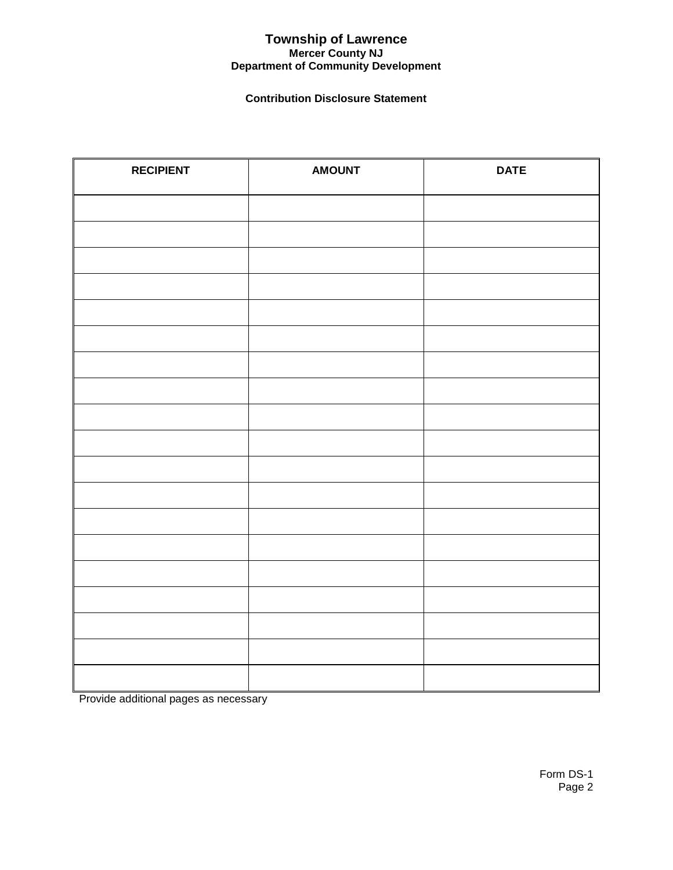### **Contribution Disclosure Statement**

| <b>RECIPIENT</b> | <b>AMOUNT</b> | <b>DATE</b> |
|------------------|---------------|-------------|
|                  |               |             |
|                  |               |             |
|                  |               |             |
|                  |               |             |
|                  |               |             |
|                  |               |             |
|                  |               |             |
|                  |               |             |
|                  |               |             |
|                  |               |             |
|                  |               |             |
|                  |               |             |
|                  |               |             |
|                  |               |             |
|                  |               |             |
|                  |               |             |
|                  |               |             |
|                  |               |             |
|                  |               |             |

Provide additional pages as necessary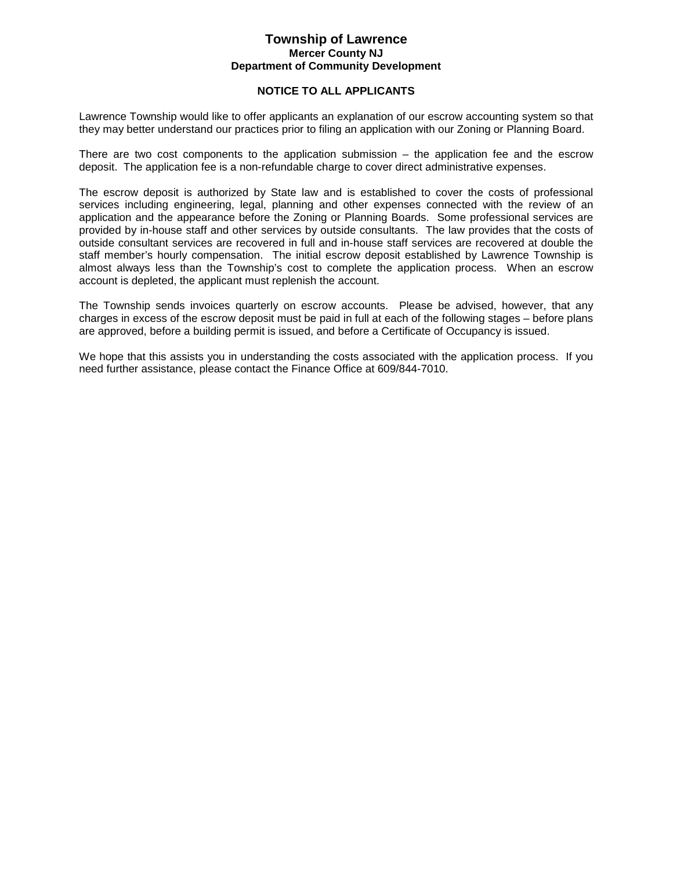#### **NOTICE TO ALL APPLICANTS**

Lawrence Township would like to offer applicants an explanation of our escrow accounting system so that they may better understand our practices prior to filing an application with our Zoning or Planning Board.

There are two cost components to the application submission  $-$  the application fee and the escrow deposit. The application fee is a non-refundable charge to cover direct administrative expenses.

The escrow deposit is authorized by State law and is established to cover the costs of professional services including engineering, legal, planning and other expenses connected with the review of an application and the appearance before the Zoning or Planning Boards. Some professional services are provided by in-house staff and other services by outside consultants. The law provides that the costs of outside consultant services are recovered in full and in-house staff services are recovered at double the staff member's hourly compensation. The initial escrow deposit established by Lawrence Township is almost always less than the Township's cost to complete the application process. When an escrow account is depleted, the applicant must replenish the account.

The Township sends invoices quarterly on escrow accounts. Please be advised, however, that any charges in excess of the escrow deposit must be paid in full at each of the following stages – before plans are approved, before a building permit is issued, and before a Certificate of Occupancy is issued.

We hope that this assists you in understanding the costs associated with the application process. If you need further assistance, please contact the Finance Office at 609/844-7010.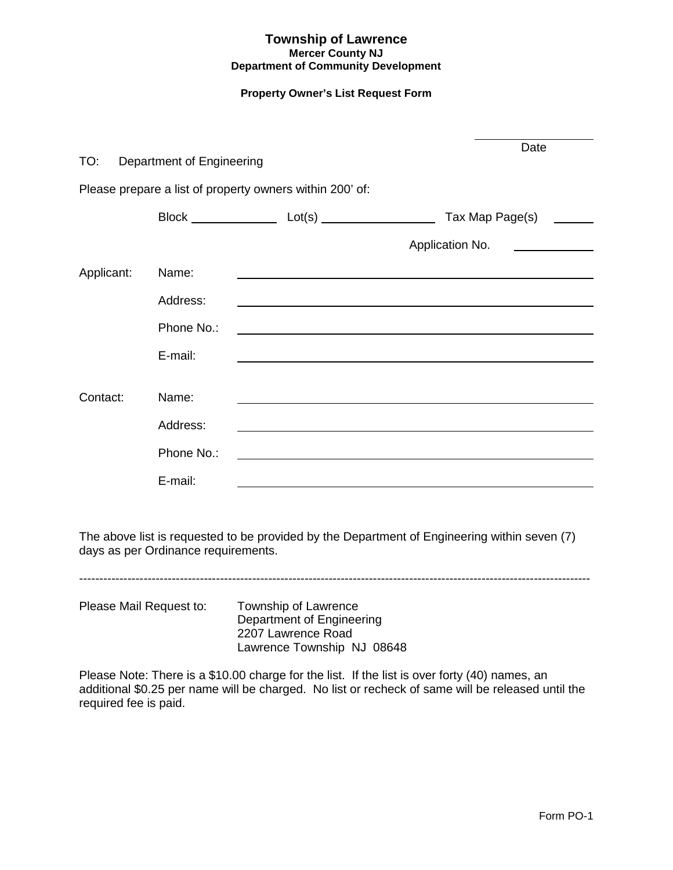### **Property Owner's List Request Form**

| TO:        | Department of Engineering |                                                          | Date                                                         |
|------------|---------------------------|----------------------------------------------------------|--------------------------------------------------------------|
|            |                           |                                                          |                                                              |
|            |                           | Please prepare a list of property owners within 200' of: |                                                              |
|            |                           | Block Lot(s) Lot(s)                                      | Tax Map Page(s)                                              |
|            |                           |                                                          | Application No.                                              |
| Applicant: | Name:                     |                                                          |                                                              |
|            | Address:                  |                                                          |                                                              |
|            | Phone No.:                |                                                          | <u> 1989 - Johann Barbara, martxa eta idazlea (h. 1989).</u> |
|            | E-mail:                   |                                                          |                                                              |
|            |                           |                                                          |                                                              |
| Contact:   | Name:                     |                                                          |                                                              |
|            | Address:                  |                                                          |                                                              |
|            | Phone No.:                |                                                          |                                                              |
|            | E-mail:                   |                                                          |                                                              |

The above list is requested to be provided by the Department of Engineering within seven (7) days as per Ordinance requirements.

-------------------------------------------------------------------------------------------------------------------------------

Please Mail Request to: Township of Lawrence Department of Engineering 2207 Lawrence Road Lawrence Township NJ 08648

Please Note: There is a \$10.00 charge for the list. If the list is over forty (40) names, an additional \$0.25 per name will be charged. No list or recheck of same will be released until the required fee is paid.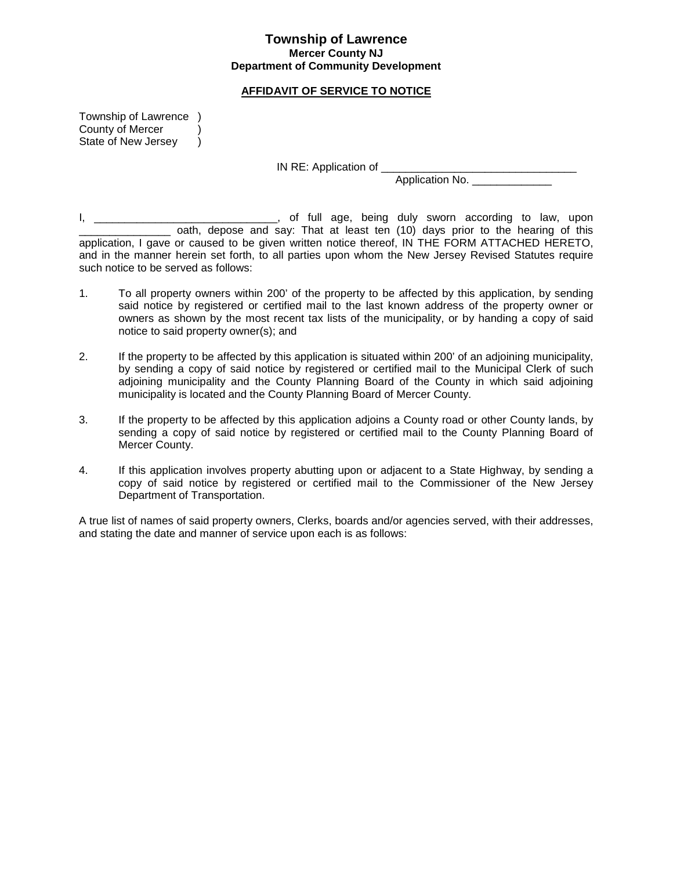#### **AFFIDAVIT OF SERVICE TO NOTICE**

Township of Lawrence ) County of Mercer (1) State of New Jersey )

IN RE: Application of

Application No.

I, \_\_\_\_\_\_\_\_\_\_\_\_\_\_\_\_\_\_\_\_\_\_\_\_\_\_\_\_\_\_, of full age, being duly sworn according to law, upon oath, depose and say: That at least ten (10) days prior to the hearing of this application, I gave or caused to be given written notice thereof, IN THE FORM ATTACHED HERETO, and in the manner herein set forth, to all parties upon whom the New Jersey Revised Statutes require such notice to be served as follows:

- 1. To all property owners within 200' of the property to be affected by this application, by sending said notice by registered or certified mail to the last known address of the property owner or owners as shown by the most recent tax lists of the municipality, or by handing a copy of said notice to said property owner(s); and
- 2. If the property to be affected by this application is situated within 200' of an adjoining municipality, by sending a copy of said notice by registered or certified mail to the Municipal Clerk of such adjoining municipality and the County Planning Board of the County in which said adjoining municipality is located and the County Planning Board of Mercer County.
- 3. If the property to be affected by this application adjoins a County road or other County lands, by sending a copy of said notice by registered or certified mail to the County Planning Board of Mercer County.
- 4. If this application involves property abutting upon or adjacent to a State Highway, by sending a copy of said notice by registered or certified mail to the Commissioner of the New Jersey Department of Transportation.

A true list of names of said property owners, Clerks, boards and/or agencies served, with their addresses, and stating the date and manner of service upon each is as follows: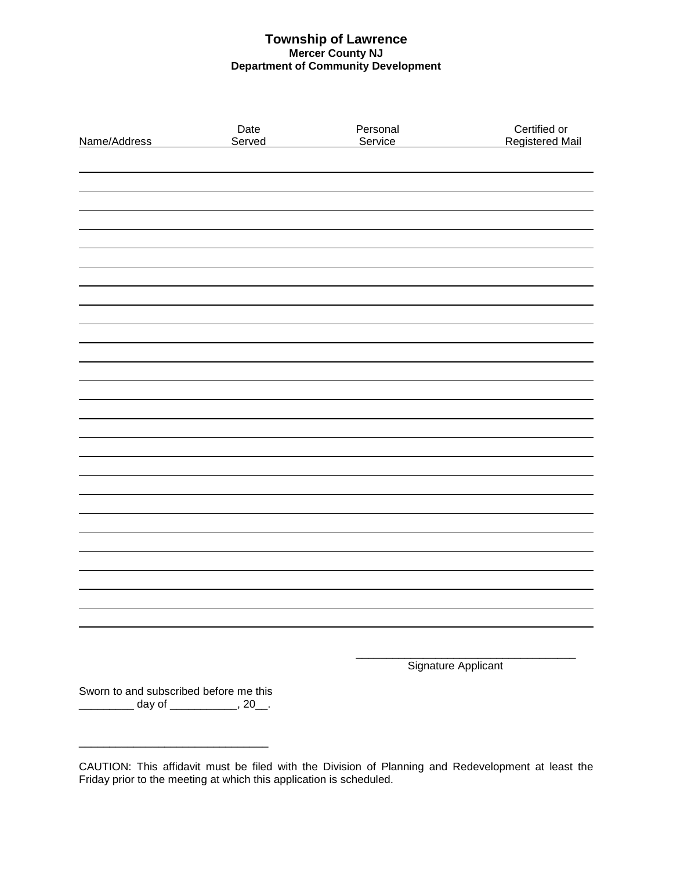| Name/Address                           | Date<br>Served                 | Personal<br>Service | Certified or<br><b>Registered Mail</b> |
|----------------------------------------|--------------------------------|---------------------|----------------------------------------|
|                                        |                                |                     |                                        |
|                                        |                                |                     |                                        |
|                                        |                                |                     |                                        |
|                                        |                                |                     |                                        |
|                                        |                                |                     |                                        |
|                                        |                                |                     |                                        |
|                                        |                                |                     |                                        |
|                                        |                                |                     |                                        |
|                                        |                                |                     |                                        |
|                                        |                                |                     |                                        |
|                                        |                                |                     |                                        |
|                                        |                                |                     |                                        |
|                                        |                                |                     |                                        |
|                                        |                                |                     |                                        |
|                                        |                                |                     |                                        |
|                                        |                                |                     |                                        |
|                                        |                                |                     |                                        |
|                                        |                                |                     |                                        |
|                                        |                                |                     |                                        |
|                                        |                                |                     |                                        |
|                                        |                                |                     |                                        |
|                                        |                                |                     |                                        |
|                                        |                                |                     |                                        |
|                                        |                                |                     |                                        |
|                                        |                                |                     |                                        |
|                                        |                                |                     | Signature Applicant                    |
| Sworn to and subscribed before me this | __ day of _____________, 20__. |                     |                                        |

\_\_\_\_\_\_\_\_\_\_\_\_\_\_\_\_\_\_\_\_\_\_\_\_\_\_\_\_\_\_\_

CAUTION: This affidavit must be filed with the Division of Planning and Redevelopment at least the Friday prior to the meeting at which this application is scheduled.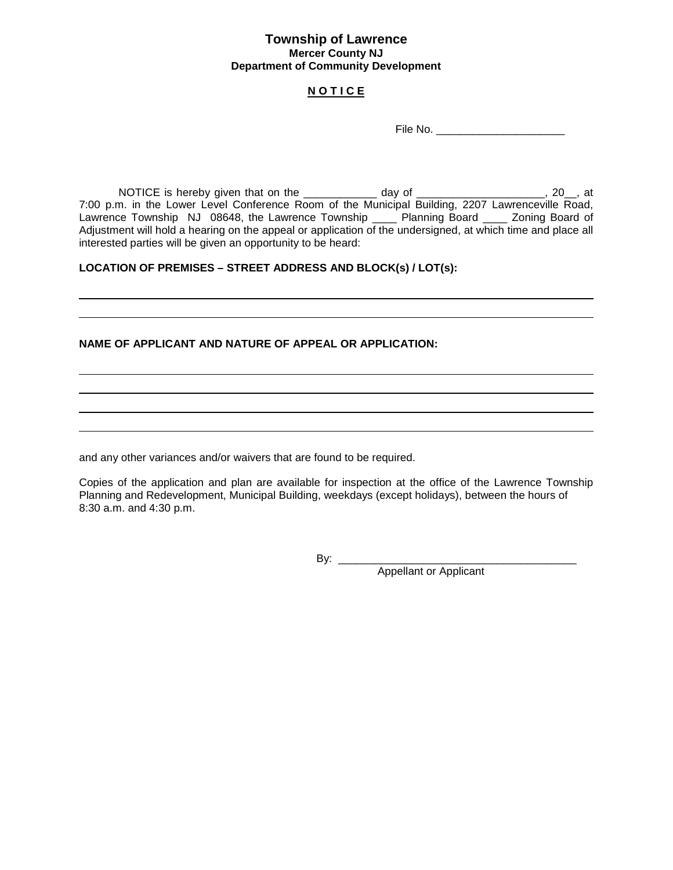### **N O T I C E**

File No.

NOTICE is hereby given that on the \_\_\_\_\_\_\_\_\_\_\_\_ day of \_\_\_\_\_\_\_\_\_\_\_\_\_\_\_\_\_\_\_\_\_, 20\_\_, at 7:00 p.m. in the Lower Level Conference Room of the Municipal Building, 2207 Lawrenceville Road, Lawrence Township NJ 08648, the Lawrence Township \_\_\_\_ Planning Board \_\_\_\_ Zoning Board of Adjustment will hold a hearing on the appeal or application of the undersigned, at which time and place all interested parties will be given an opportunity to be heard:

### **LOCATION OF PREMISES – STREET ADDRESS AND BLOCK(s) / LOT(s):**

#### **NAME OF APPLICANT AND NATURE OF APPEAL OR APPLICATION:**

and any other variances and/or waivers that are found to be required.

Copies of the application and plan are available for inspection at the office of the Lawrence Township Planning and Redevelopment, Municipal Building, weekdays (except holidays), between the hours of 8:30 a.m. and 4:30 p.m.

By: \_\_\_\_\_\_\_\_\_\_\_\_\_\_\_\_\_\_\_\_\_\_\_\_\_\_\_\_\_\_\_\_\_\_\_\_\_\_\_

Appellant or Applicant